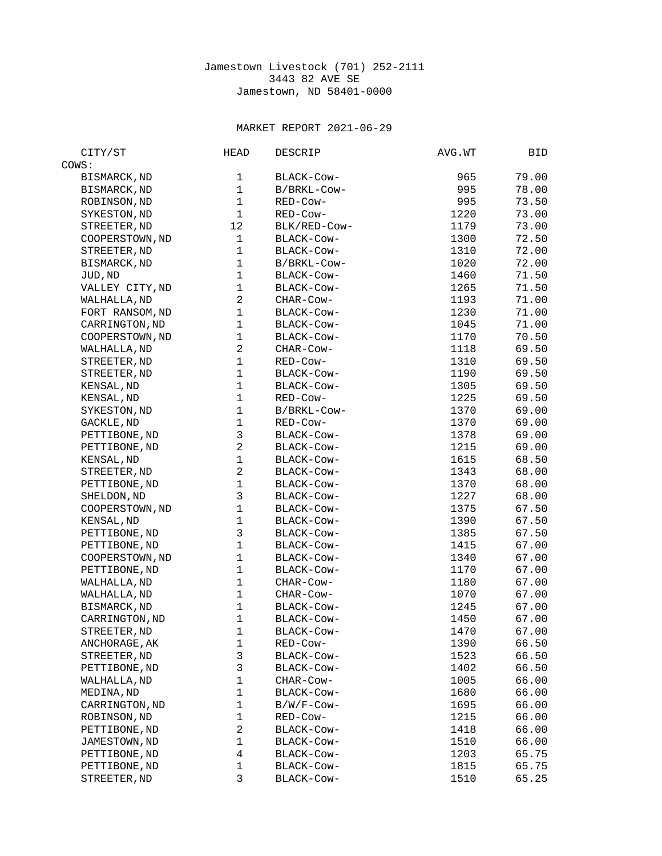## Jamestown Livestock (701) 252-2111 3443 82 AVE SE Jamestown, ND 58401-0000

## MARKET REPORT 2021-06-29

| CITY/ST             | <b>HEAD</b>    | DESCRIP      | AVG.WT | BID   |
|---------------------|----------------|--------------|--------|-------|
| COWS:               |                |              |        |       |
| <b>BISMARCK, ND</b> | 1              | BLACK-COW-   | 965    | 79.00 |
| BISMARCK, ND        | $\mathbf{1}$   | B/BRKL-Cow-  | 995    | 78.00 |
| ROBINSON, ND        | $\mathbf{1}$   | RED-Cow-     | 995    | 73.50 |
| SYKESTON, ND        | $\mathbf{1}$   | RED-Cow-     | 1220   | 73.00 |
| STREETER, ND        | 12             | BLK/RED-COW- | 1179   | 73.00 |
| COOPERSTOWN, ND     | $\mathbf{1}$   | BLACK-COW-   | 1300   | 72.50 |
| STREETER, ND        | $\mathbf{1}$   | BLACK-COW-   | 1310   | 72.00 |
| BISMARCK, ND        | $\mathbf{1}$   | B/BRKL-Cow-  | 1020   | 72.00 |
| JUD, ND             | $\mathbf{1}$   | BLACK-COW-   | 1460   | 71.50 |
| VALLEY CITY, ND     | $\mathbf 1$    | BLACK-COW-   | 1265   | 71.50 |
| WALHALLA, ND        | $\overline{c}$ | CHAR-COW-    | 1193   | 71.00 |
| FORT RANSOM, ND     | $\mathbf{1}$   | BLACK-Cow-   | 1230   | 71.00 |
| CARRINGTON, ND      | $\mathbf{1}$   | BLACK-COW-   | 1045   | 71.00 |
| COOPERSTOWN, ND     | $\mathbf{1}$   | BLACK-COW-   | 1170   | 70.50 |
| WALHALLA, ND        | $\overline{c}$ | CHAR-COW-    | 1118   | 69.50 |
| STREETER, ND        | $\mathbf{1}$   | RED-Cow-     | 1310   | 69.50 |
| STREETER, ND        | $\mathbf 1$    | BLACK-COW-   | 1190   | 69.50 |
| KENSAL, ND          | $\mathbf{1}$   | BLACK-COW-   | 1305   | 69.50 |
| KENSAL, ND          | 1              | RED-Cow-     | 1225   | 69.50 |
| SYKESTON, ND        | $\mathbf{1}$   | B/BRKL-Cow-  | 1370   | 69.00 |
| GACKLE, ND          | $\mathbf{1}$   | RED-Cow-     | 1370   | 69.00 |
| PETTIBONE, ND       | 3              | BLACK-Cow-   | 1378   | 69.00 |
| PETTIBONE, ND       | $\overline{2}$ | BLACK-COW-   | 1215   | 69.00 |
| KENSAL, ND          | $\mathbf{1}$   | BLACK-COW-   | 1615   | 68.50 |
| STREETER, ND        | $\overline{c}$ | BLACK-COW-   | 1343   | 68.00 |
| PETTIBONE, ND       | $\mathbf{1}$   | BLACK-COW-   | 1370   | 68.00 |
| SHELDON, ND         | 3              | BLACK-COW-   | 1227   | 68.00 |
| COOPERSTOWN, ND     | $\mathbf{1}$   | BLACK-COW-   | 1375   | 67.50 |
| KENSAL, ND          | $\mathbf 1$    | BLACK-COW-   | 1390   | 67.50 |
| PETTIBONE, ND       | 3              | BLACK-Cow-   | 1385   | 67.50 |
| PETTIBONE, ND       | $\mathbf{1}$   | BLACK-Cow-   | 1415   | 67.00 |
| COOPERSTOWN, ND     | $\mathbf{1}$   | BLACK-COW-   | 1340   | 67.00 |
| PETTIBONE, ND       | $\mathbf 1$    | BLACK-COW-   | 1170   | 67.00 |
| WALHALLA, ND        | $\mathbf{1}$   | CHAR-COW-    | 1180   | 67.00 |
| WALHALLA, ND        | $\mathbf{1}$   | CHAR-COW-    | 1070   | 67.00 |
| BISMARCK, ND        | $\mathbf{1}$   | BLACK-COW-   | 1245   | 67.00 |
| CARRINGTON, ND      | $\mathbf{1}$   | BLACK-Cow-   | 1450   | 67.00 |
| STREETER, ND        | $\mathbf{1}$   | BLACK-COW-   | 1470   | 67.00 |
| ANCHORAGE, AK       | 1              | RED-Cow-     | 1390   | 66.50 |
| STREETER, ND        | 3              | BLACK-Cow-   | 1523   | 66.50 |
| PETTIBONE, ND       | 3              | BLACK-Cow-   | 1402   | 66.50 |
| WALHALLA, ND        | $\mathbf{1}$   | CHAR-COW-    | 1005   | 66.00 |
| MEDINA, ND          | 1              | BLACK-Cow-   | 1680   | 66.00 |
| CARRINGTON, ND      | 1              | B/W/F-Cow-   | 1695   | 66.00 |
| ROBINSON, ND        | $\mathbf 1$    | RED-Cow-     | 1215   | 66.00 |
| PETTIBONE, ND       | $\overline{c}$ | BLACK-COW-   | 1418   | 66.00 |
| JAMESTOWN, ND       | 1              | BLACK-Cow-   | 1510   | 66.00 |
| PETTIBONE, ND       | $\overline{4}$ | BLACK-Cow-   | 1203   | 65.75 |
| PETTIBONE, ND       | $\mathbf 1$    | BLACK-Cow-   | 1815   | 65.75 |
| STREETER, ND        | 3              | BLACK-Cow-   | 1510   | 65.25 |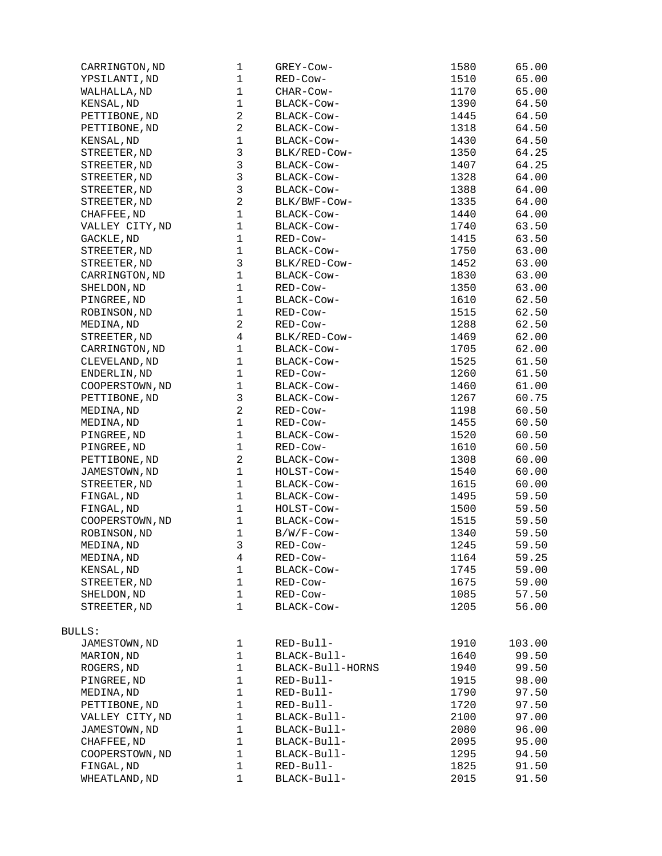| CARRINGTON, ND  | 1                       | GREY-Cow-        | 1580 | 65.00  |
|-----------------|-------------------------|------------------|------|--------|
| YPSILANTI, ND   | 1                       | RED-Cow-         | 1510 | 65.00  |
| WALHALLA, ND    | 1                       | CHAR-COW-        | 1170 | 65.00  |
| KENSAL, ND      | 1                       | BLACK-COW-       | 1390 | 64.50  |
| PETTIBONE, ND   | $\overline{c}$          | BLACK-Cow-       | 1445 | 64.50  |
| PETTIBONE, ND   | $\overline{c}$          | BLACK-COW-       | 1318 | 64.50  |
| KENSAL, ND      | $\mathbf{1}$            | BLACK-Cow-       | 1430 | 64.50  |
| STREETER, ND    | 3                       | BLK/RED-COW-     | 1350 | 64.25  |
| STREETER, ND    | 3                       | BLACK-COW-       | 1407 | 64.25  |
| STREETER, ND    | 3                       | BLACK-COW-       | 1328 | 64.00  |
| STREETER, ND    | 3                       | BLACK-COW-       | 1388 | 64.00  |
|                 | $\overline{c}$          |                  | 1335 |        |
| STREETER, ND    |                         | BLK/BWF-COW-     |      | 64.00  |
| CHAFFEE, ND     | $\mathbf{1}$            | BLACK-COW-       | 1440 | 64.00  |
| VALLEY CITY, ND | $\mathbf{1}$            | BLACK-Cow-       | 1740 | 63.50  |
| GACKLE, ND      | $\mathbf{1}$            | RED-Cow-         | 1415 | 63.50  |
| STREETER, ND    | $\mathbf{1}$            | BLACK-COW-       | 1750 | 63.00  |
| STREETER, ND    | 3                       | BLK/RED-COW-     | 1452 | 63.00  |
| CARRINGTON, ND  | $\mathbf{1}$            | BLACK-Cow-       | 1830 | 63.00  |
| SHELDON, ND     | 1                       | RED-Cow-         | 1350 | 63.00  |
| PINGREE, ND     | 1                       | BLACK-COW-       | 1610 | 62.50  |
| ROBINSON, ND    | $\mathbf{1}$            | RED-Cow-         | 1515 | 62.50  |
| MEDINA, ND      | $\overline{c}$          | RED-Cow-         | 1288 | 62.50  |
| STREETER, ND    | $\overline{\mathbf{4}}$ | BLK/RED-COW-     | 1469 | 62.00  |
| CARRINGTON, ND  | $\mathbf{1}$            | BLACK-Cow-       | 1705 | 62.00  |
| CLEVELAND, ND   | $\mathbf{1}$            | BLACK-Cow-       | 1525 | 61.50  |
| ENDERLIN, ND    | $\mathbf{1}$            | RED-Cow-         | 1260 | 61.50  |
| COOPERSTOWN, ND | $\mathbf 1$             | BLACK-COW-       | 1460 | 61.00  |
|                 | 3                       |                  |      |        |
| PETTIBONE, ND   |                         | BLACK-COW-       | 1267 | 60.75  |
| MEDINA, ND      | $\overline{c}$          | RED-Cow-         | 1198 | 60.50  |
| MEDINA, ND      | $\mathbf{1}$            | RED-Cow-         | 1455 | 60.50  |
| PINGREE, ND     | $\mathbf{1}$            | BLACK-COW-       | 1520 | 60.50  |
| PINGREE, ND     | $\mathbf 1$             | RED-Cow-         | 1610 | 60.50  |
| PETTIBONE, ND   | $\overline{2}$          | BLACK-COW-       | 1308 | 60.00  |
| JAMESTOWN, ND   | $\mathbf{1}$            | HOLST-COW-       | 1540 | 60.00  |
| STREETER, ND    | $\mathbf{1}$            | BLACK-Cow-       | 1615 | 60.00  |
| FINGAL, ND      | $\mathbf{1}$            | BLACK-COW-       | 1495 | 59.50  |
| FINGAL, ND      | $\mathbf{1}$            | HOLST-Cow-       | 1500 | 59.50  |
| COOPERSTOWN, ND | 1                       | BLACK-Cow-       | 1515 | 59.50  |
| ROBINSON, ND    | $\mathbf{1}$            | B/W/F-Cow-       | 1340 | 59.50  |
| MEDINA,ND       | 3                       | RED-Cow-         | 1245 | 59.50  |
| MEDINA, ND      | 4                       | RED-Cow-         | 1164 | 59.25  |
| KENSAL, ND      | 1                       | BLACK-Cow-       | 1745 | 59.00  |
| STREETER, ND    | 1                       | RED-Cow-         | 1675 | 59.00  |
| SHELDON, ND     | 1                       | RED-Cow-         | 1085 | 57.50  |
| STREETER, ND    | $\mathbf{1}$            | BLACK-Cow-       | 1205 | 56.00  |
|                 |                         |                  |      |        |
|                 |                         |                  |      |        |
| BULLS:          |                         |                  |      |        |
| JAMESTOWN, ND   | 1                       | RED-Bull-        | 1910 | 103.00 |
| MARION, ND      | 1                       | BLACK-Bull-      | 1640 | 99.50  |
| ROGERS, ND      | 1                       | BLACK-Bull-HORNS | 1940 | 99.50  |
| PINGREE, ND     | 1                       | RED-Bull-        | 1915 | 98.00  |
| MEDINA, ND      | 1                       | RED-Bull-        | 1790 | 97.50  |
| PETTIBONE, ND   | 1                       | RED-Bull-        | 1720 | 97.50  |
| VALLEY CITY, ND | 1                       | BLACK-Bull-      | 2100 | 97.00  |
| JAMESTOWN, ND   | 1                       | BLACK-Bull-      | 2080 | 96.00  |
| CHAFFEE, ND     | 1                       | BLACK-Bull-      | 2095 | 95.00  |
| COOPERSTOWN, ND | 1                       | BLACK-Bull-      | 1295 | 94.50  |
|                 |                         |                  |      |        |
| FINGAL, ND      | 1                       | RED-Bull-        | 1825 | 91.50  |